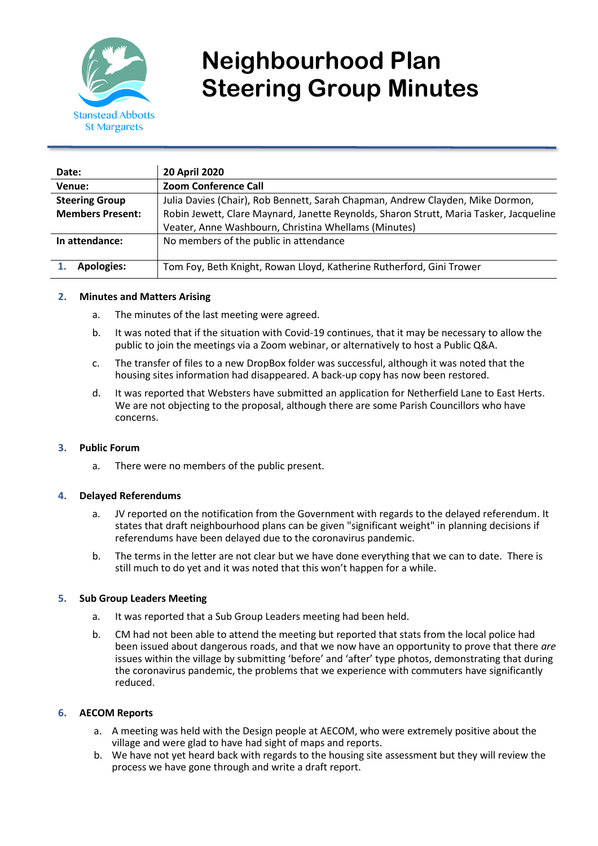

# **Neighbourhood Plan Steering Group Minutes**

| Date:                   | <b>20 April 2020</b>                                                                   |
|-------------------------|----------------------------------------------------------------------------------------|
| Venue:                  | <b>Zoom Conference Call</b>                                                            |
| <b>Steering Group</b>   | Julia Davies (Chair), Rob Bennett, Sarah Chapman, Andrew Clayden, Mike Dormon,         |
| <b>Members Present:</b> | Robin Jewett, Clare Maynard, Janette Reynolds, Sharon Strutt, Maria Tasker, Jacqueline |
|                         | Veater, Anne Washbourn, Christina Whellams (Minutes)                                   |
| In attendance:          | No members of the public in attendance                                                 |
| <b>Apologies:</b>       | Tom Foy, Beth Knight, Rowan Lloyd, Katherine Rutherford, Gini Trower                   |

### **2. Minutes and Matters Arising**

- a. The minutes of the last meeting were agreed.
- b. It was noted that if the situation with Covid-19 continues, that it may be necessary to allow the public to join the meetings via a Zoom webinar, or alternatively to host a Public Q&A.
- c. The transfer of files to a new DropBox folder was successful, although it was noted that the housing sites information had disappeared. A back-up copy has now been restored.
- d. It was reported that Websters have submitted an application for Netherfield Lane to East Herts. We are not objecting to the proposal, although there are some Parish Councillors who have concerns.

### **3. Public Forum**

a. There were no members of the public present.

#### **4. Delayed Referendums**

- a. JV reported on the notification from the Government with regards to the delayed referendum. It states that draft neighbourhood plans can be given "significant weight" in planning decisions if referendums have been delayed due to the coronavirus pandemic.
- b. The terms in the letter are not clear but we have done everything that we can to date. There is still much to do yet and it was noted that this won't happen for a while.

### **5. Sub Group Leaders Meeting**

- a. It was reported that a Sub Group Leaders meeting had been held.
- b. CM had not been able to attend the meeting but reported that stats from the local police had been issued about dangerous roads, and that we now have an opportunity to prove that there *are* issues within the village by submitting 'before' and 'after' type photos, demonstrating that during the coronavirus pandemic, the problems that we experience with commuters have significantly reduced.

### **6. AECOM Reports**

- a. A meeting was held with the Design people at AECOM, who were extremely positive about the village and were glad to have had sight of maps and reports.
- b. We have not yet heard back with regards to the housing site assessment but they will review the process we have gone through and write a draft report.